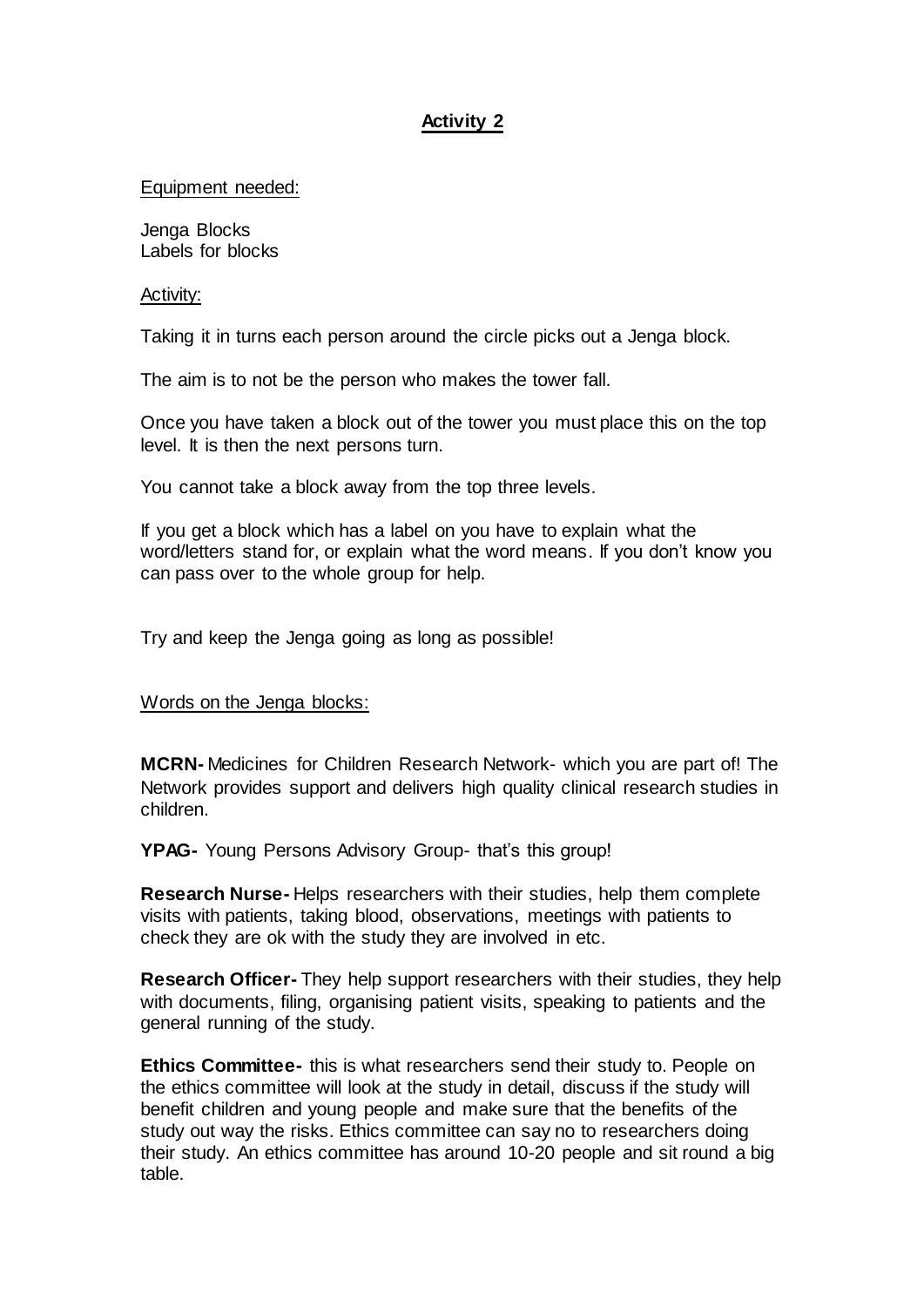## **Activity 2**

## Equipment needed:

Jenga Blocks Labels for blocks

## Activity:

Taking it in turns each person around the circle picks out a Jenga block.

The aim is to not be the person who makes the tower fall.

Once you have taken a block out of the tower you must place this on the top level. It is then the next persons turn.

You cannot take a block away from the top three levels.

If you get a block which has a label on you have to explain what the word/letters stand for, or explain what the word means. If you don't know you can pass over to the whole group for help.

Try and keep the Jenga going as long as possible!

## Words on the Jenga blocks:

**MCRN-** Medicines for Children Research Network- which you are part of! The Network provides support and delivers high quality clinical research studies in children.

**YPAG-** Young Persons Advisory Group- that's this group!

**Research Nurse-** Helps researchers with their studies, help them complete visits with patients, taking blood, observations, meetings with patients to check they are ok with the study they are involved in etc.

**Research Officer-** They help support researchers with their studies, they help with documents, filing, organising patient visits, speaking to patients and the general running of the study.

**Ethics Committee-** this is what researchers send their study to. People on the ethics committee will look at the study in detail, discuss if the study will benefit children and young people and make sure that the benefits of the study out way the risks. Ethics committee can say no to researchers doing their study. An ethics committee has around 10-20 people and sit round a big table.